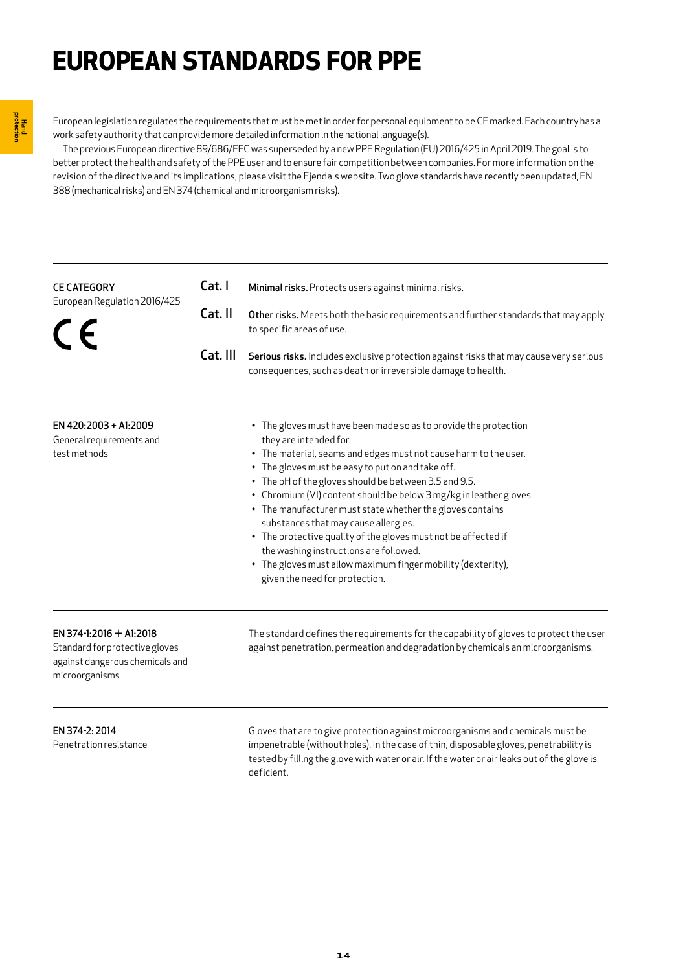# **EUROPEAN STANDARDS FOR PPE**

European legislation regulates the requirements that must be met in order for personal equipment to be CE marked. Each country has a work safety authority that can provide more detailed information in the national language(s).

 The previous European directive 89/686/EEC was superseded by a new PPE Regulation (EU) 2016/425 in April 2019. The goal is to better protect the health and safety of the PPE user and to ensure fair competition between companies. For more information on the revision of the directive and its implications, please visit the Ejendals website. Two glove standards have recently been updated, EN 388 (mechanical risks) and EN 374 (chemical and microorganism risks).

| <b>CE CATEGORY</b>                                                                                             | Cat. I   | Minimal risks. Protects users against minimal risks.                                                                                                                                                                                                                                                                                                                                                                                                                                                                                                                                                                                                                  |
|----------------------------------------------------------------------------------------------------------------|----------|-----------------------------------------------------------------------------------------------------------------------------------------------------------------------------------------------------------------------------------------------------------------------------------------------------------------------------------------------------------------------------------------------------------------------------------------------------------------------------------------------------------------------------------------------------------------------------------------------------------------------------------------------------------------------|
| European Regulation 2016/425<br>Cat. II<br>$\epsilon$                                                          |          | Other risks. Meets both the basic requirements and further standards that may apply<br>to specific areas of use.                                                                                                                                                                                                                                                                                                                                                                                                                                                                                                                                                      |
|                                                                                                                | Cat. III | Serious risks. Includes exclusive protection against risks that may cause very serious<br>consequences, such as death or irreversible damage to health.                                                                                                                                                                                                                                                                                                                                                                                                                                                                                                               |
| EN 420:2003 + A1:2009<br>General requirements and<br>test methods                                              |          | • The gloves must have been made so as to provide the protection<br>they are intended for.<br>• The material, seams and edges must not cause harm to the user.<br>• The gloves must be easy to put on and take off.<br>• The pH of the gloves should be between 3.5 and 9.5.<br>• Chromium (VI) content should be below 3 mg/kg in leather gloves.<br>• The manufacturer must state whether the gloves contains<br>substances that may cause allergies.<br>• The protective quality of the gloves must not be affected if<br>the washing instructions are followed.<br>• The gloves must allow maximum finger mobility (dexterity),<br>given the need for protection. |
| EN 374-1:2016 + A1:2018<br>Standard for protective gloves<br>against dangerous chemicals and<br>microorganisms |          | The standard defines the requirements for the capability of gloves to protect the user<br>against penetration, permeation and degradation by chemicals an microorganisms.                                                                                                                                                                                                                                                                                                                                                                                                                                                                                             |

EN 374-2: 2014 Penetration resistance Gloves that are to give protection against microorganisms and chemicals must be impenetrable (without holes). In the case of thin, disposable gloves, penetrability is tested by filling the glove with water or air. If the water or air leaks out of the glove is deficient.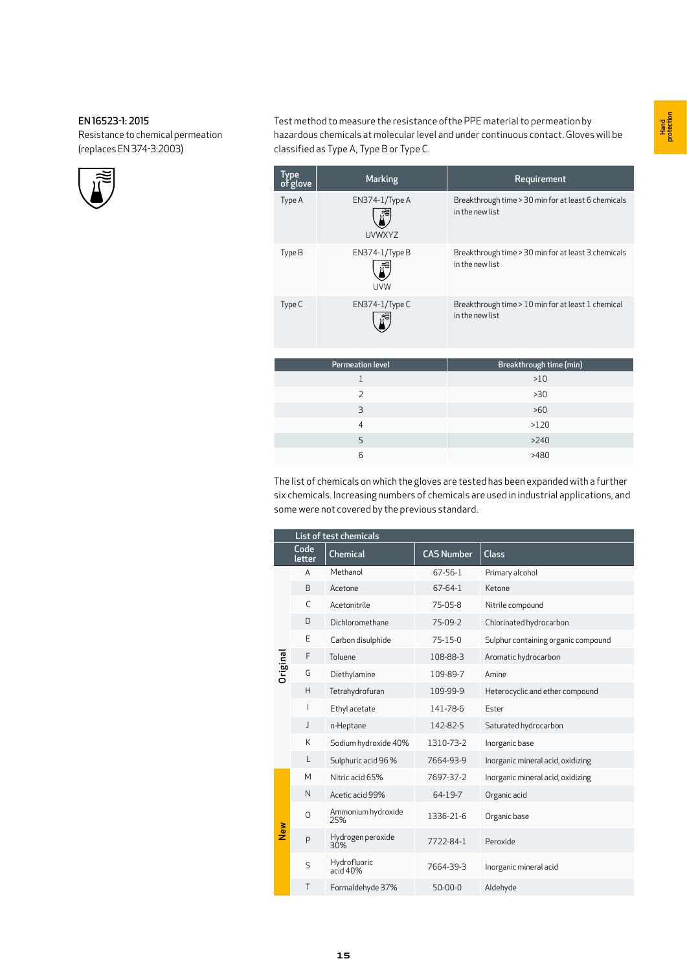# EN 16523-1: 2015

Resistance to chemical permeation (replaces EN 374-3:2003)



Test method to measure the resistance ofthe PPE material to permeation by hazardous chemicals at molecular level and under continuous contact. Gloves will be classified as Type A, Type B or Type C.

| <b>Type</b><br>of glove | <b>Marking</b>                   | Requirement                                                            |
|-------------------------|----------------------------------|------------------------------------------------------------------------|
| Type A                  | $EN374-1/TypeA$<br><b>UVWXYZ</b> | Breakthrough time > 30 min for at least 6 chemicals<br>in the new list |
| Type B                  | EN374-1/Type B<br>UVW            | Breakthrough time > 30 min for at least 3 chemicals<br>in the new list |
| Type C                  | EN374-1/Type C                   | Breakthrough time > 10 min for at least 1 chemical<br>in the new list  |

| <b>Permeation level</b> | Breakthrough time (min) |
|-------------------------|-------------------------|
|                         | >10                     |
|                         | >30                     |
| 3                       | >60                     |
|                         | >120                    |
| 5                       | >240                    |
| 6                       | >480                    |

The list of chemicals on which the gloves are tested has been expanded with a further six chemicals. Increasing numbers of chemicals are used in industrial applications, and some were not covered by the previous standard.

|                 | List of test chemicals |                           |                   |                                     |  |  |  |
|-----------------|------------------------|---------------------------|-------------------|-------------------------------------|--|--|--|
|                 | Code<br>letter         | <b>Chemical</b>           | <b>CAS Number</b> | <b>Class</b>                        |  |  |  |
|                 | A                      | Methanol                  | 67-56-1           | Primary alcohol                     |  |  |  |
|                 | B                      | Acetone                   | 67-64-1           | Ketone                              |  |  |  |
|                 | C                      | Acetonitrile              | 75-05-8           | Nitrile compound                    |  |  |  |
|                 | D                      | Dichloromethane           | 75-09-2           | Chlorinated hydrocarbon             |  |  |  |
|                 | E                      | Carbon disulphide         | 75-15-0           | Sulphur containing organic compound |  |  |  |
|                 | F                      | Toluene                   | 108-88-3          | Aromatic hydrocarbon                |  |  |  |
| <b>Driginal</b> | G                      | Diethylamine              | 109-89-7          | Amine                               |  |  |  |
|                 | H                      | Tetrahydrofuran           | 109-99-9          | Heterocyclic and ether compound     |  |  |  |
|                 |                        | Ethyl acetate             | 141-78-6          | Ester                               |  |  |  |
|                 | J                      | n-Heptane                 | 142-82-5          | Saturated hydrocarbon               |  |  |  |
|                 | Κ                      | Sodium hydroxide 40%      | 1310-73-2         | Inorganic base                      |  |  |  |
|                 | L                      | Sulphuric acid 96%        | 7664-93-9         | Inorganic mineral acid, oxidizing   |  |  |  |
|                 | M                      | Nitric acid 65%           | 7697-37-2         | Inorganic mineral acid, oxidizing   |  |  |  |
|                 | N                      | Acetic acid 99%           | 64-19-7           | Organic acid                        |  |  |  |
|                 | 0                      | Ammonium hydroxide<br>25% | 1336-21-6         | Organic base                        |  |  |  |
| New             | P                      | Hydrogen peroxide<br>30%  | 7722-84-1         | Peroxide                            |  |  |  |
|                 | $\mathsf{S}$           | Hydrofluoric<br>acid 40%  | 7664-39-3         | Inorganic mineral acid              |  |  |  |
|                 | Τ                      | Formaldehyde 37%          | $50 - 00 - 0$     | Aldehyde                            |  |  |  |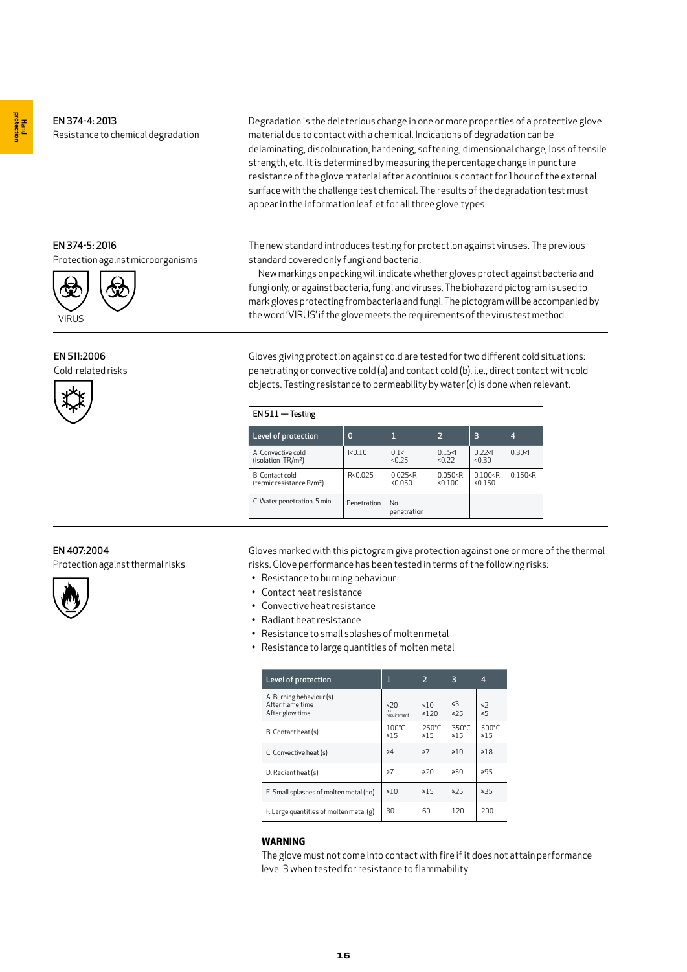# EN 374-4: 2013 Resistance to chemical degradation

Degradation is the deleterious change in one or more properties of a protective glove material due to contact with a chemical. Indications of degradation can be delaminating, discolouration, hardening, softening, dimensional change, loss of tensile strength, etc. It is determined by measuring the percentage change in puncture resistance of the glove material after a continuous contact for 1 hour of the external surface with the challenge test chemical. The results of the degradation test must appear in the information leaflet for all three glove types.

The new standard introduces testing for protection against viruses. The previous standard covered only fungi and bacteria.

 New markings on packing will indicate whether gloves protect against bacteria and fungi only, or against bacteria, fungi and viruses. The biohazard pictogram is used to mark gloves protecting from bacteria and fungi. The pictogram will be accompanied by the word 'VIRUS' if the glove meets the requirements of the virus test method.

Gloves giving protection against cold are tested for two different cold situations: penetrating or convective cold (a) and contact cold (b), i.e., direct contact with cold objects. Testing resistance to permeability by water (c) is done when relevant.

| $EN 511 - Testing$                                       |             |                      |                      |                      |           |
|----------------------------------------------------------|-------------|----------------------|----------------------|----------------------|-----------|
| Level of protection                                      | 0           | 1                    | $\overline{2}$       | 3                    | 4         |
| A. Convective cold<br>(isolation ITR/m <sup>2</sup> )    | 1 < 0.10    | 0.1<<br>< 0.25       | 0.15<<br>< 0.22      | 0.22<<br>< 0.30      | 0.30<1    |
| B. Contact cold<br>(termic resistance R/m <sup>2</sup> ) | R<0.025     | 0.025 < R<br>< 0.050 | 0.050 < R<br>< 0.100 | 0.100 < R<br>< 0.150 | 0.150 < F |
| C. Water penetration, 5 min                              | Penetration | No<br>penetration    |                      |                      |           |

Gloves marked with this pictogram give protection against one or more of the thermal risks. Glove performance has been tested in terms of the following risks:

- Resistance to burning behaviour
- Contact heat resistance
- Convective heat resistance
- Radiant heat resistance
- Resistance to small splashes of molten metal
- Resistance to large quantities of molten metal

| Level of protection                                             | 1                        | $\overline{2}$    | 3              | 4                  |
|-----------------------------------------------------------------|--------------------------|-------------------|----------------|--------------------|
| A. Burning behaviour (s)<br>After flame time<br>After glow time | <20<br>nn<br>requirement | ≤10<br>$\leq 120$ | ≼3<br>≤25      | ≤2<br>≤5           |
| B. Contact heat (s)                                             | 100°C<br>≥15             | 250°C<br>$\ge 15$ | 350°C<br>≥15   | 500°C<br>$\geq 15$ |
| C. Convective heat (s)                                          | $\geq 4$                 | $\geq 7$          | $\geq 10$      | $\geq 18$          |
| D. Radiant heat (s)                                             | $\geq 7$                 | >20               | ≥50            | ≥95                |
| E. Small splashes of molten metal (no)                          | $\geq 10$                | $\geq 15$         | $\geqslant$ 25 | $\geq 35$          |
| $F.$ Large quantities of molten metal $(g)$                     | 30                       | 60                | 120            | 200                |

# **WARNING**

The glove must not come into contact with fire if it does not attain performance level 3 when tested for resistance to flammability.

EN 374-5: 2016

Protection against microorganisms



EN 511:2006

Cold-related risks



# EN 407:2004

Protection against thermal risks

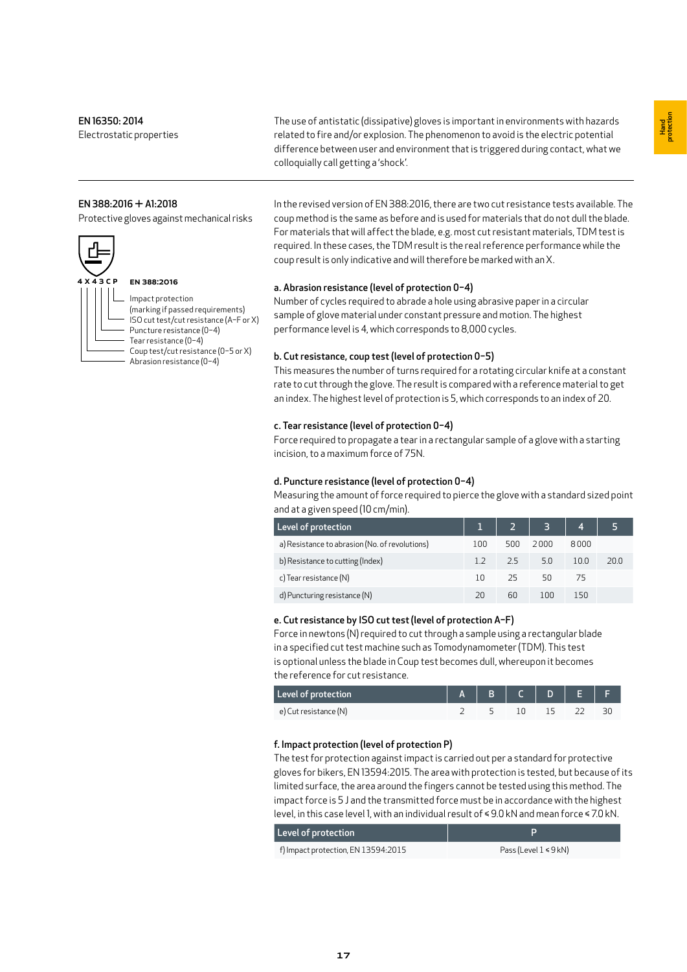Electrostatic properties

The use of antistatic (dissipative) gloves is important in environments with hazards related to fire and/or explosion. The phenomenon to avoid is the electric potential difference between user and environment that is triggered during contact, what we colloquially call getting a 'shock'.

#### EN 388:2016 + A1:2018

Protective gloves against mechanical risks



# EN 388:2016

Impact protection (marking if passed requirements) ISO cut test/cut resistance (A–F or X) Puncture resistance (0–4) Tear resistance (0–4) Coup test/cut resistance (0–5 or X) Abrasion resistance (0–4)

In the revised version of EN 388:2016, there are two cut resistance tests available. The coup method is the same as before and is used for materials that do not dull the blade. For materials that will affect the blade, e.g. most cut resistant materials, TDM test is required. In these cases, the TDM result is the real reference performance while the coup result is only indicative and will therefore be marked with an X.

## a. Abrasion resistance (level of protection 0–4)

Number of cycles required to abrade a hole using abrasive paper in a circular sample of glove material under constant pressure and motion. The highest performance level is 4, which corresponds to 8,000 cycles.

#### b. Cut resistance, coup test (level of protection 0–5)

This measures the number of turns required for a rotating circular knife at a constant rate to cut through the glove. The result is compared with a reference material to get an index. The highest level of protection is 5, which corresponds to an index of 20.

#### c. Tear resistance (level of protection 0–4)

Force required to propagate a tear in a rectangular sample of a glove with a starting incision, to a maximum force of 75N.

#### d. Puncture resistance (level of protection 0–4)

Measuring the amount of force required to pierce the glove with a standard sized point and at a given speed (10 cm/min).

| Level of protection                            |     |     | $3 -$ | 4    |      |
|------------------------------------------------|-----|-----|-------|------|------|
| a) Resistance to abrasion (No. of revolutions) | 100 | 500 | 2000  | 8000 |      |
| b) Resistance to cutting (Index)               | 12  | 2.5 | 5.0   | 10.0 | 20.0 |
| c) Tear resistance (N)                         | 10  | -25 | 50    | 75   |      |
| d) Puncturing resistance (N)                   |     | 60  | 100   | 150  |      |

#### e. Cut resistance by ISO cut test(level of protection A–F)

Force in newtons (N) required to cut through a sample using a rectangular blade in a specified cut test machine such as Tomodynamometer (TDM). This test is optional unless the blade in Coup test becomes dull, whereupon it becomes the reference for cut resistance.

| Level of protection   | $A$ B C D E |  |  |  |
|-----------------------|-------------|--|--|--|
| e) Cut resistance (N) |             |  |  |  |

## f. Impact protection (level of protection P)

The test for protection against impact is carried out per a standard for protective gloves for bikers, EN 13594:2015. The area with protection is tested, but because of its limited surface, the area around the fingers cannot be tested using this method. The impact force is 5 J and the transmitted force must be in accordance with the highest level, in this case level 1, with an individual result of ≤ 9.0 kN and mean force ≤ 7.0 kN.

| Level of protection                 |                           |
|-------------------------------------|---------------------------|
| f) Impact protection, EN 13594:2015 | Pass (Level $1 \le 9$ kN) |